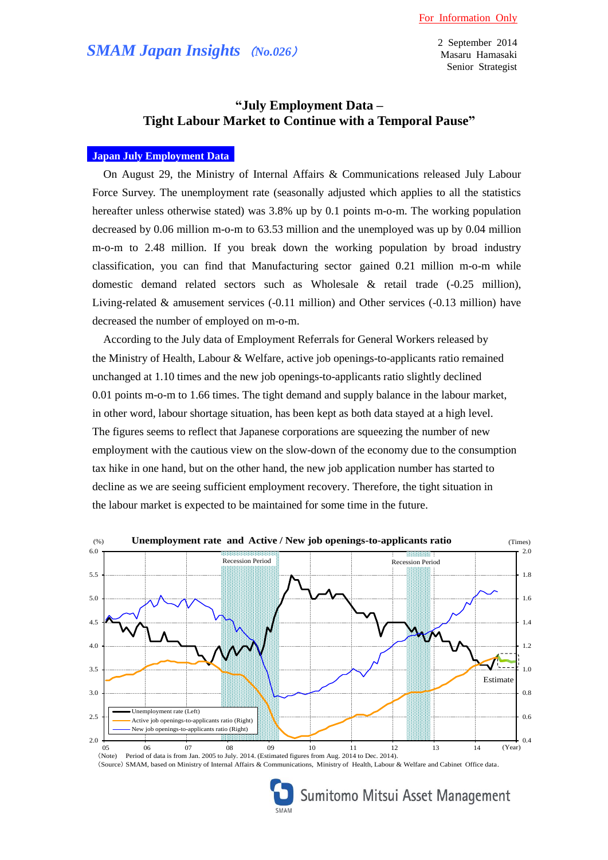# *SMAM Japan Insights* (*No.026*)

2 September 2014 Masaru Hamasaki Senior Strategist

## **"July Employment Data – Tight Labour Market to Continue with a Temporal Pause"**

### **Japan July Employment Data**

On August 29, the Ministry of Internal Affairs & Communications released July Labour Force Survey. The unemployment rate (seasonally adjusted which applies to all the statistics hereafter unless otherwise stated) was 3.8% up by 0.1 points m-o-m. The working population decreased by 0.06 million m-o-m to 63.53 million and the unemployed was up by 0.04 million m-o-m to 2.48 million. If you break down the working population by broad industry classification, you can find that Manufacturing sector gained 0.21 million m-o-m while domestic demand related sectors such as Wholesale & retail trade (-0.25 million), Living-related & amusement services (-0.11 million) and Other services (-0.13 million) have decreased the number of employed on m-o-m.

According to the July data of Employment Referrals for General Workers released by the Ministry of Health, Labour & Welfare, active job openings-to-applicants ratio remained unchanged at 1.10 times and the new job openings-to-applicants ratio slightly declined 0.01 points m-o-m to 1.66 times. The tight demand and supply balance in the labour market, in other word, labour shortage situation, has been kept as both data stayed at a high level. The figures seems to reflect that Japanese corporations are squeezing the number of new employment with the cautious view on the slow-down of the economy due to the consumption tax hike in one hand, but on the other hand, the new job application number has started to decline as we are seeing sufficient employment recovery. Therefore, the tight situation in the labour market is expected to be maintained for some time in the future.



(Source) SMAM, based on Ministry of Internal Affairs & Communications, Ministry of Health, Labour & Welfare and Cabinet Office data.